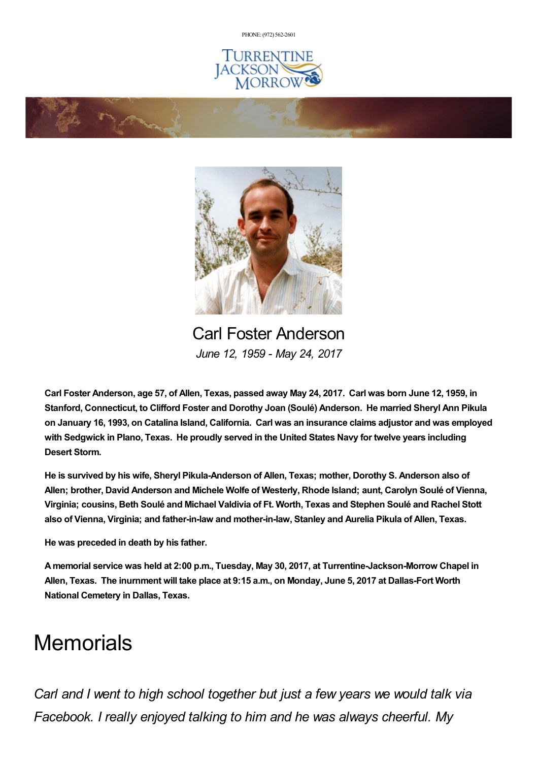PHONE: (972) [562-2601](tel:(972) 562-2601)







Carl Foster Anderson *June 12, 1959 - May 24, 2017*

Carl Foster Anderson, age 57, of Allen, Texas, passed away May 24, 2017. Carl was born June 12, 1959, in **Stanford, Connecticut, to Clifford Foster and Dorothy Joan (Soulé) Anderson. He married Sheryl Ann Pikula** on January 16, 1993, on Catalina Island, California. Carl was an insurance claims adjustor and was employed **with Sedgwick in Plano, Texas. He proudly served in the United States Navy for twelve years including Desert Storm.**

**He is survived by his wife, Sheryl Pikula-Anderson of Allen, Texas; mother, Dorothy S. Anderson also of Allen; brother, David Anderson and Michele Wolfe of Westerly, Rhode Island; aunt, Carolyn Soulé of Vienna, Virginia; cousins, Beth Soulé and Michael Valdivia of Ft. Worth, Texas and Stephen Soulé and Rachel Stott also of Vienna, Virginia; and father-in-law and mother-in-law, Stanley and Aurelia Pikula of Allen, Texas.**

**He was preceded in death by his father.**

**Amemorial service was held at 2:00 p.m., Tuesday, May 30, 2017, at Turrentine-Jackson-Morrow Chapel in** Allen, Texas. The inurnment will take place at 9:15 a.m., on Monday, June 5, 2017 at Dallas-Fort Worth **National Cemetery in Dallas, Texas.**

## **Memorials**

*Carl and I went to high school together but just a few years we would talk via Facebook. I really enjoyed talking to him and he was always cheerful. My*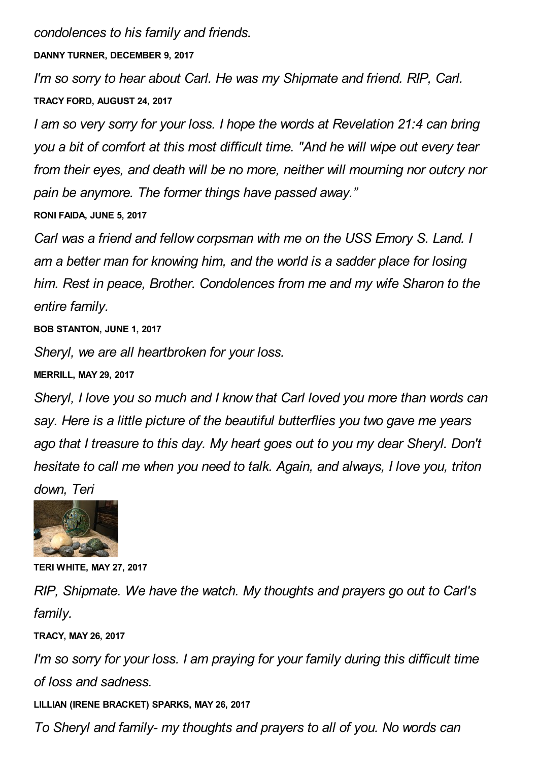*condolences to his family and friends.*

**DANNY TURNER, DECEMBER 9, 2017**

*I'm so sorry to hear about Carl. He was my Shipmate and friend. RIP, Carl.* **TRACY FORD, AUGUST 24, 2017**

*I am so very sorry for your loss. I hope the words at Revelation 21:4 can bring you a bit of comfort at this most difficult time. "And he will wipe out every tear from their eyes, and death will be no more, neither will mourning nor outcry nor pain be anymore. The former things have passed away."* **RONI FAIDA, JUNE 5, 2017**

*Carl was a friend and fellow corpsman with me on the USS Emory S. Land. I am a better man for knowing him, and the world is a sadder place for losing him. Rest in peace, Brother. Condolences from me and my wife Sharon to the entire family.*

**BOB STANTON, JUNE 1, 2017**

*Sheryl, we are all heartbroken for your loss.*

**MERRILL, MAY 29, 2017**

*Sheryl, I love you so much and I know that Carl loved you more than words can say. Here is a little picture of the beautiful butterflies you two gave me years ago that I treasure to this day. My heart goes out to you my dear Sheryl. Don't hesitate to call me when you need to talk. Again, and always, I love you, triton down, Teri*



**TERI WHITE, MAY 27, 2017**

*RIP, Shipmate. We have the watch. My thoughts and prayers go out to Carl's family.*

**TRACY, MAY 26, 2017**

*I'm so sorry for your loss. I am praying for your family during this difficult time of loss and sadness.*

**LILLIAN (IRENE BRACKET) SPARKS, MAY 26, 2017**

*To Sheryl and family- my thoughts and prayers to all of you. No words can*